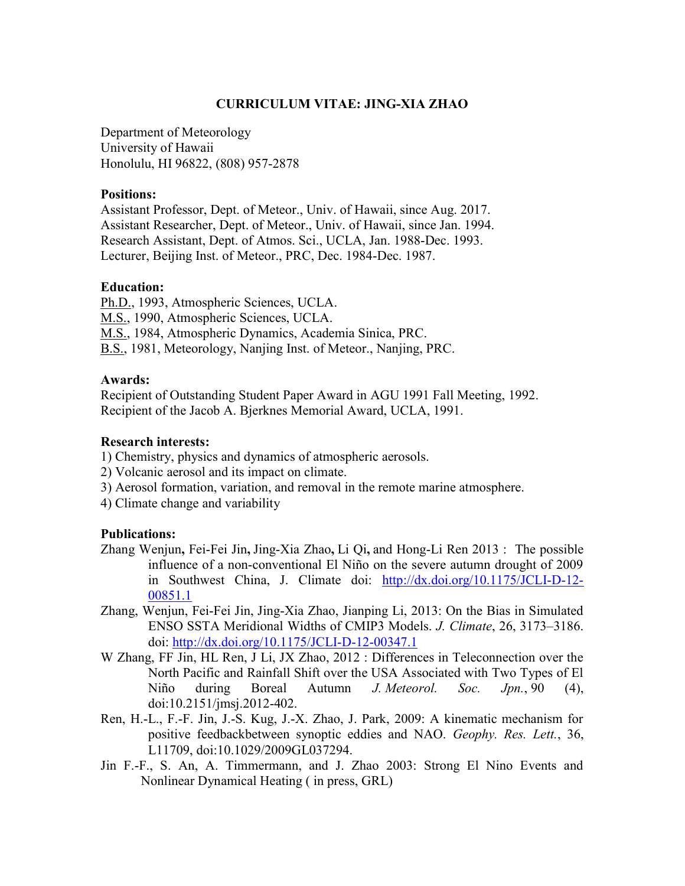# CURRICULUM VITAE: JING-XIA ZHAO

Department of Meteorology University of Hawaii Honolulu, HI 96822, (808) 957-2878

### Positions:

Assistant Professor, Dept. of Meteor., Univ. of Hawaii, since Aug. 2017. Assistant Researcher, Dept. of Meteor., Univ. of Hawaii, since Jan. 1994. Research Assistant, Dept. of Atmos. Sci., UCLA, Jan. 1988-Dec. 1993. Lecturer, Beijing Inst. of Meteor., PRC, Dec. 1984-Dec. 1987.

### Education:

Ph.D., 1993, Atmospheric Sciences, UCLA. M.S., 1990, Atmospheric Sciences, UCLA. M.S., 1984, Atmospheric Dynamics, Academia Sinica, PRC. B.S., 1981, Meteorology, Nanjing Inst. of Meteor., Nanjing, PRC.

### Awards:

Recipient of Outstanding Student Paper Award in AGU 1991 Fall Meeting, 1992. Recipient of the Jacob A. Bjerknes Memorial Award, UCLA, 1991.

## Research interests:

- 1) Chemistry, physics and dynamics of atmospheric aerosols.
- 2) Volcanic aerosol and its impact on climate.
- 3) Aerosol formation, variation, and removal in the remote marine atmosphere.
- 4) Climate change and variability

### Publications:

- Zhang Wenjun, Fei-Fei Jin, Jing-Xia Zhao, Li Qi, and Hong-Li Ren 2013 : The possible influence of a non-conventional El Niño on the severe autumn drought of 2009 in Southwest China, J. Climate doi: http://dx.doi.org/10.1175/JCLI-D-12- 00851.1
- Zhang, Wenjun, Fei-Fei Jin, Jing-Xia Zhao, Jianping Li, 2013: On the Bias in Simulated ENSO SSTA Meridional Widths of CMIP3 Models. J. Climate, 26, 3173–3186. doi: http://dx.doi.org/10.1175/JCLI-D-12-00347.1
- W Zhang, FF Jin, HL Ren, J Li, JX Zhao, 2012 : Differences in Teleconnection over the North Pacific and Rainfall Shift over the USA Associated with Two Types of El Niño during Boreal Autumn J. Meteorol. Soc. Jpn., 90 (4), doi:10.2151/jmsj.2012-402.
- Ren, H.-L., F.-F. Jin, J.-S. Kug, J.-X. Zhao, J. Park, 2009: A kinematic mechanism for positive feedbackbetween synoptic eddies and NAO. Geophy. Res. Lett., 36, L11709, doi:10.1029/2009GL037294.
- Jin F.-F., S. An, A. Timmermann, and J. Zhao 2003: Strong El Nino Events and Nonlinear Dynamical Heating ( in press, GRL)